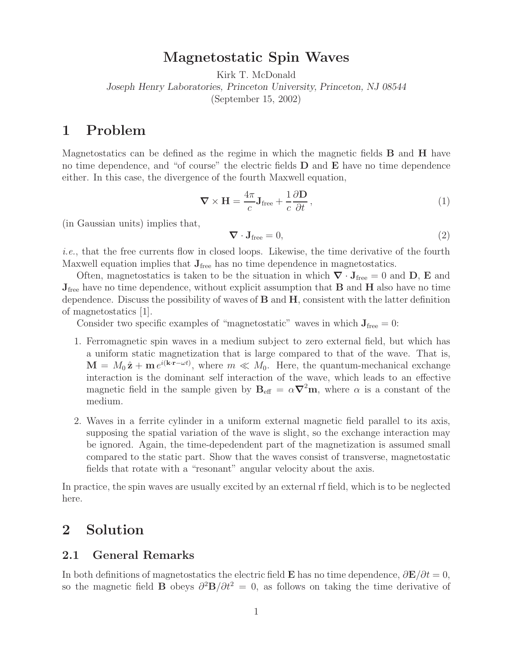## **Magnetostatic Spin Waves**

Kirk T. McDonald

*Joseph Henry Laboratories, Princeton University, Princeton, NJ 08544*

(September 15, 2002)

## **1 Problem**

Magnetostatics can be defined as the regime in which the magnetic fields **B** and **H** have no time dependence, and "of course" the electric fields **D** and **E** have no time dependence either. In this case, the divergence of the fourth Maxwell equation,

$$
\nabla \times \mathbf{H} = \frac{4\pi}{c} \mathbf{J}_{\text{free}} + \frac{1}{c} \frac{\partial \mathbf{D}}{\partial t},
$$
\n(1)

(in Gaussian units) implies that,

$$
\nabla \cdot \mathbf{J}_{\text{free}} = 0,\tag{2}
$$

*i.e.*, that the free currents flow in closed loops. Likewise, the time derivative of the fourth Maxwell equation implies that  $J_{\text{free}}$  has no time dependence in magnetostatics.

Often, magnetostatics is taken to be the situation in which  $\nabla \cdot \mathbf{J}_{\text{free}} = 0$  and  $\mathbf{D}, \mathbf{E}$  and **J**free have no time dependence, without explicit assumption that **B** and **H** also have no time dependence. Discuss the possibility of waves of **B** and **H**, consistent with the latter definition of magnetostatics [1].

Consider two specific examples of "magnetostatic" waves in which  $J_{\text{free}} = 0$ :

- 1. Ferromagnetic spin waves in a medium subject to zero external field, but which has a uniform static magnetization that is large compared to that of the wave. That is,  $\mathbf{M} = M_0 \hat{\mathbf{z}} + \mathbf{m} e^{i(\mathbf{k} \cdot \mathbf{r} - \omega t)}$ , where  $m \ll M_0$ . Here, the quantum-mechanical exchange interaction is the dominant self interaction of the wave, which leads to an effective magnetic field in the sample given by  $\mathbf{B}_{\text{eff}} = \alpha \nabla^2 \mathbf{m}$ , where  $\alpha$  is a constant of the medium.
- 2. Waves in a ferrite cylinder in a uniform external magnetic field parallel to its axis, supposing the spatial variation of the wave is slight, so the exchange interaction may be ignored. Again, the time-depedendent part of the magnetization is assumed small compared to the static part. Show that the waves consist of transverse, magnetostatic fields that rotate with a "resonant" angular velocity about the axis.

In practice, the spin waves are usually excited by an external rf field, which is to be neglected here.

# **2 Solution**

## **2.1 General Remarks**

In both definitions of magnetostatics the electric field **E** has no time dependence,  $\partial \mathbf{E}/\partial t = 0$ , so the magnetic field **B** obeys  $\partial^2 \mathbf{B}/\partial t^2 = 0$ , as follows on taking the time derivative of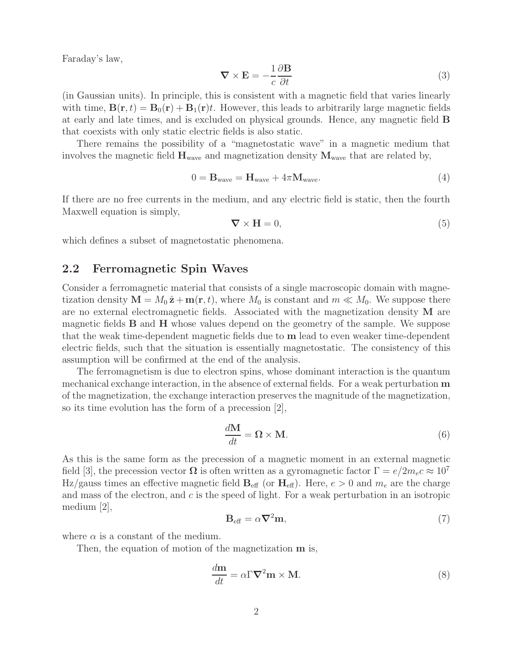Faraday's law,

$$
\nabla \times \mathbf{E} = -\frac{1}{c} \frac{\partial \mathbf{B}}{\partial t}
$$
 (3)

(in Gaussian units). In principle, this is consistent with a magnetic field that varies linearly with time,  $\mathbf{B}(\mathbf{r},t) = \mathbf{B}_0(\mathbf{r}) + \mathbf{B}_1(\mathbf{r})t$ . However, this leads to arbitrarily large magnetic fields at early and late times, and is excluded on physical grounds. Hence, any magnetic field **B** that coexists with only static electric fields is also static.

There remains the possibility of a "magnetostatic wave" in a magnetic medium that involves the magnetic field  $\mathbf{H}_{wave}$  and magnetization density  $\mathbf{M}_{wave}$  that are related by,

$$
0 = \mathbf{B}_{\text{wave}} = \mathbf{H}_{\text{wave}} + 4\pi \mathbf{M}_{\text{wave}}.\tag{4}
$$

If there are no free currents in the medium, and any electric field is static, then the fourth Maxwell equation is simply,

$$
\nabla \times \mathbf{H} = 0,\tag{5}
$$

which defines a subset of magnetostatic phenomena.

### **2.2 Ferromagnetic Spin Waves**

Consider a ferromagnetic material that consists of a single macroscopic domain with magnetization density  $\mathbf{M} = M_0 \hat{\mathbf{z}} + \mathbf{m}(\mathbf{r}, t)$ , where  $M_0$  is constant and  $m \ll M_0$ . We suppose there are no external electromagnetic fields. Associated with the magnetization density **M** are magnetic fields **B** and **H** whose values depend on the geometry of the sample. We suppose that the weak time-dependent magnetic fields due to **m** lead to even weaker time-dependent electric fields, such that the situation is essentially magnetostatic. The consistency of this assumption will be confirmed at the end of the analysis.

The ferromagnetism is due to electron spins, whose dominant interaction is the quantum mechanical exchange interaction, in the absence of external fields. For a weak perturbation **m** of the magnetization, the exchange interaction preserves the magnitude of the magnetization, so its time evolution has the form of a precession [2],

$$
\frac{d\mathbf{M}}{dt} = \mathbf{\Omega} \times \mathbf{M}.\tag{6}
$$

As this is the same form as the precession of a magnetic moment in an external magnetic field [3], the precession vector  $\Omega$  is often written as a gyromagnetic factor  $\Gamma = e/2m_ec \approx 10^7$ Hz/gauss times an effective magnetic field  $\mathbf{B}_{\text{eff}}$  (or  $\mathbf{H}_{\text{eff}}$ ). Here,  $e > 0$  and  $m_e$  are the charge and mass of the electron, and  $c$  is the speed of light. For a weak perturbation in an isotropic medium [2],

$$
\mathbf{B}_{\text{eff}} = \alpha \nabla^2 \mathbf{m},\tag{7}
$$

where  $\alpha$  is a constant of the medium.

Then, the equation of motion of the magnetization **m** is,

$$
\frac{d\mathbf{m}}{dt} = \alpha \nabla^2 \mathbf{m} \times \mathbf{M}.\tag{8}
$$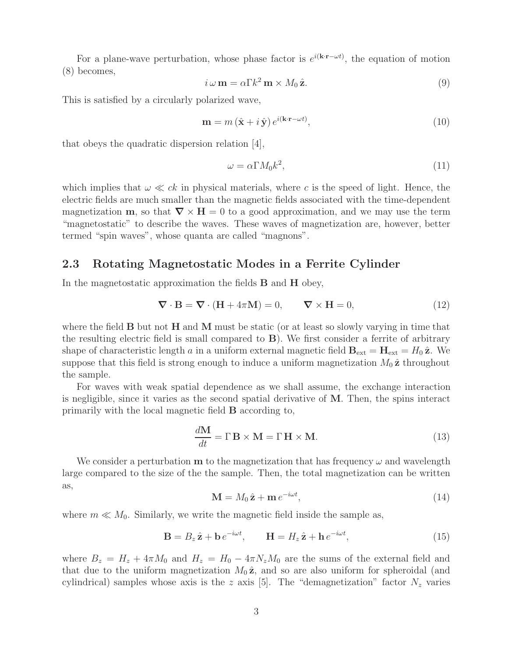For a plane-wave perturbation, whose phase factor is  $e^{i(k \cdot \mathbf{r} - \omega t)}$ , the equation of motion (8) becomes,

$$
i\,\omega\,\mathbf{m} = \alpha\Gamma k^2\,\mathbf{m} \times M_0\,\hat{\mathbf{z}}.\tag{9}
$$

This is satisfied by a circularly polarized wave,

$$
\mathbf{m} = m\left(\hat{\mathbf{x}} + i\,\hat{\mathbf{y}}\right)e^{i(\mathbf{k}\cdot\mathbf{r}-\omega t)},\tag{10}
$$

that obeys the quadratic dispersion relation [4],

$$
\omega = \alpha \Gamma M_0 k^2,\tag{11}
$$

which implies that  $\omega \ll ck$  in physical materials, where c is the speed of light. Hence, the electric fields are much smaller than the magnetic fields associated with the time-dependent magnetization **m**, so that  $\nabla \times \mathbf{H} = 0$  to a good approximation, and we may use the term "magnetostatic" to describe the waves. These waves of magnetization are, however, better termed "spin waves", whose quanta are called "magnons".

#### **2.3 Rotating Magnetostatic Modes in a Ferrite Cylinder**

In the magnetostatic approximation the fields **B** and **H** obey,

$$
\nabla \cdot \mathbf{B} = \nabla \cdot (\mathbf{H} + 4\pi \mathbf{M}) = 0, \qquad \nabla \times \mathbf{H} = 0,
$$
\n(12)

where the field **B** but not **H** and **M** must be static (or at least so slowly varying in time that the resulting electric field is small compared to **B**). We first consider a ferrite of arbitrary shape of characteristic length a in a uniform external magnetic field  $\mathbf{B}_{ext} = \mathbf{H}_{ext} = H_0 \hat{\mathbf{z}}$ . We suppose that this field is strong enough to induce a uniform magnetization  $M_0 \hat{z}$  throughout the sample.

For waves with weak spatial dependence as we shall assume, the exchange interaction is negligible, since it varies as the second spatial derivative of **M**. Then, the spins interact primarily with the local magnetic field **B** according to,

$$
\frac{d\mathbf{M}}{dt} = \Gamma \mathbf{B} \times \mathbf{M} = \Gamma \mathbf{H} \times \mathbf{M}.
$$
 (13)

We consider a perturbation **m** to the magnetization that has frequency  $\omega$  and wavelength large compared to the size of the the sample. Then, the total magnetization can be written as,

$$
\mathbf{M} = M_0 \,\hat{\mathbf{z}} + \mathbf{m} \, e^{-i\omega t},\tag{14}
$$

where  $m \ll M_0$ . Similarly, we write the magnetic field inside the sample as,

$$
\mathbf{B} = B_z \hat{\mathbf{z}} + \mathbf{b} e^{-i\omega t}, \qquad \mathbf{H} = H_z \hat{\mathbf{z}} + \mathbf{h} e^{-i\omega t}, \tag{15}
$$

where  $B_z = H_z + 4\pi M_0$  and  $H_z = H_0 - 4\pi N_z M_0$  are the sums of the external field and that due to the uniform magnetization  $M_0 \hat{z}$ , and so are also uniform for spheroidal (and cylindrical) samples whose axis is the z axis [5]. The "demagnetization" factor  $N_z$  varies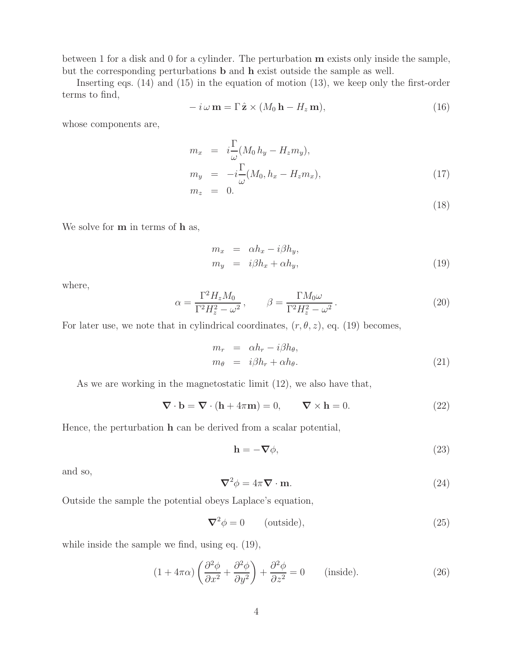between 1 for a disk and 0 for a cylinder. The perturbation **m** exists only inside the sample, but the corresponding perturbations **b** and **h** exist outside the sample as well.

Inserting eqs. (14) and (15) in the equation of motion (13), we keep only the first-order terms to find,

$$
-i\,\omega\,\mathbf{m}=\Gamma\,\hat{\mathbf{z}}\times(M_0\,\mathbf{h}-H_z\,\mathbf{m}),\tag{16}
$$

whose components are,

$$
m_x = i\frac{\Gamma}{\omega}(M_0 h_y - H_z m_y),
$$
  
\n
$$
m_y = -i\frac{\Gamma}{\omega}(M_0, h_x - H_z m_x),
$$
  
\n
$$
m_z = 0.
$$
\n(17)

(18)

We solve for **m** in terms of **h** as,

$$
m_x = \alpha h_x - i\beta h_y, \n m_y = i\beta h_x + \alpha h_y,
$$
\n(19)

where,

$$
\alpha = \frac{\Gamma^2 H_z M_0}{\Gamma^2 H_z^2 - \omega^2}, \qquad \beta = \frac{\Gamma M_0 \omega}{\Gamma^2 H_z^2 - \omega^2}.
$$
\n(20)

For later use, we note that in cylindrical coordinates,  $(r, \theta, z)$ , eq. (19) becomes,

$$
m_r = \alpha h_r - i\beta h_\theta,
$$
  
\n
$$
m_\theta = i\beta h_r + \alpha h_\theta.
$$
\n(21)

As we are working in the magnetostatic limit (12), we also have that,

$$
\nabla \cdot \mathbf{b} = \nabla \cdot (\mathbf{h} + 4\pi \mathbf{m}) = 0, \qquad \nabla \times \mathbf{h} = 0.
$$
 (22)

Hence, the perturbation **h** can be derived from a scalar potential,

$$
\mathbf{h} = -\nabla \phi,\tag{23}
$$

and so,

$$
\nabla^2 \phi = 4\pi \nabla \cdot \mathbf{m}.\tag{24}
$$

Outside the sample the potential obeys Laplace's equation,

$$
\nabla^2 \phi = 0 \qquad \text{(outside)},\tag{25}
$$

while inside the sample we find, using eq. (19),

$$
(1 + 4\pi\alpha) \left(\frac{\partial^2 \phi}{\partial x^2} + \frac{\partial^2 \phi}{\partial y^2}\right) + \frac{\partial^2 \phi}{\partial z^2} = 0 \quad \text{(inside)}.
$$
 (26)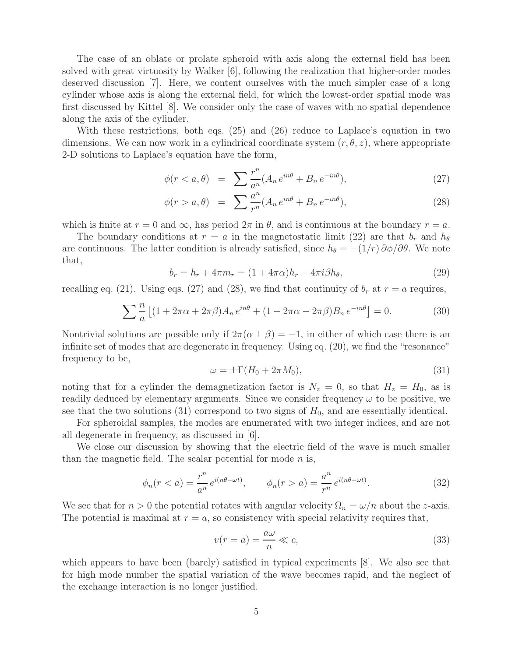The case of an oblate or prolate spheroid with axis along the external field has been solved with great virtuosity by Walker [6], following the realization that higher-order modes deserved discussion [7]. Here, we content ourselves with the much simpler case of a long cylinder whose axis is along the external field, for which the lowest-order spatial mode was first discussed by Kittel [8]. We consider only the case of waves with no spatial dependence along the axis of the cylinder.

With these restrictions, both eqs. (25) and (26) reduce to Laplace's equation in two dimensions. We can now work in a cylindrical coordinate system  $(r, \theta, z)$ , where appropriate 2-D solutions to Laplace's equation have the form,

$$
\phi(r < a, \theta) = \sum \frac{r^n}{a^n} (A_n e^{in\theta} + B_n e^{-in\theta}),\tag{27}
$$

$$
\phi(r > a, \theta) = \sum \frac{a^n}{r^n} (A_n e^{in\theta} + B_n e^{-in\theta}), \qquad (28)
$$

which is finite at  $r = 0$  and  $\infty$ , has period  $2\pi$  in  $\theta$ , and is continuous at the boundary  $r = a$ .

The boundary conditions at  $r = a$  in the magnetostatic limit (22) are that  $b_r$  and  $h_{\theta}$ are continuous. The latter condition is already satisfied, since  $h_{\theta} = -(1/r) \partial \phi / \partial \theta$ . We note that,

$$
b_r = h_r + 4\pi m_r = (1 + 4\pi\alpha)h_r - 4\pi i\beta h_\theta,
$$
\n(29)

recalling eq. (21). Using eqs. (27) and (28), we find that continuity of  $b_r$  at  $r = a$  requires,

$$
\sum_{a} \frac{n}{a} \left[ (1 + 2\pi\alpha + 2\pi\beta) A_n e^{in\theta} + (1 + 2\pi\alpha - 2\pi\beta) B_n e^{-in\theta} \right] = 0.
$$
 (30)

Nontrivial solutions are possible only if  $2\pi(\alpha \pm \beta) = -1$ , in either of which case there is an infinite set of modes that are degenerate in frequency. Using eq. (20), we find the "resonance" frequency to be,

$$
\omega = \pm \Gamma(H_0 + 2\pi M_0),\tag{31}
$$

noting that for a cylinder the demagnetization factor is  $N_z = 0$ , so that  $H_z = H_0$ , as is readily deduced by elementary arguments. Since we consider frequency  $\omega$  to be positive, we see that the two solutions (31) correspond to two signs of  $H_0$ , and are essentially identical.

For spheroidal samples, the modes are enumerated with two integer indices, and are not all degenerate in frequency, as discussed in [6].

We close our discussion by showing that the electric field of the wave is much smaller than the magnetic field. The scalar potential for mode  $n$  is,

$$
\phi_n(r < a) = \frac{r^n}{a^n} e^{i(n\theta - \omega t)}, \qquad \phi_n(r > a) = \frac{a^n}{r^n} e^{i(n\theta - \omega t)}.\tag{32}
$$

We see that for  $n > 0$  the potential rotates with angular velocity  $\Omega_n = \omega/n$  about the z-axis. The potential is maximal at  $r = a$ , so consistency with special relativity requires that,

$$
v(r=a) = \frac{a\omega}{n} \ll c,
$$
\n(33)

which appears to have been (barely) satisfied in typical experiments [8]. We also see that for high mode number the spatial variation of the wave becomes rapid, and the neglect of the exchange interaction is no longer justified.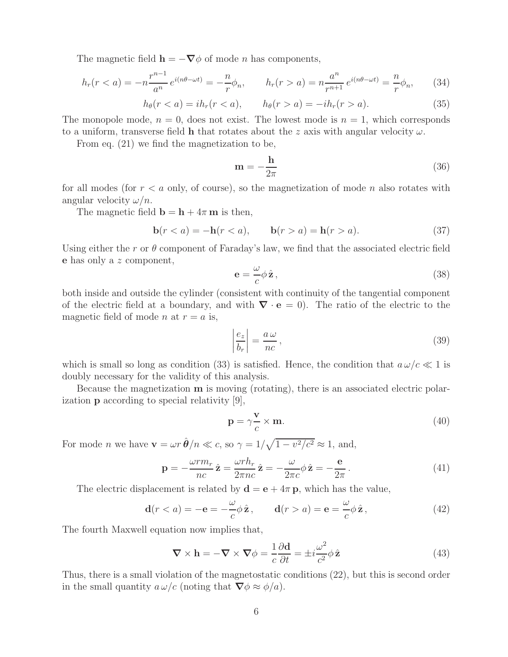The magnetic field  $\mathbf{h} = -\nabla \phi$  of mode *n* has components,

$$
h_r(r < a) = -n \frac{r^{n-1}}{a^n} e^{i(n\theta - \omega t)} = -\frac{n}{r} \phi_n, \qquad h_r(r > a) = n \frac{a^n}{r^{n+1}} e^{i(n\theta - \omega t)} = \frac{n}{r} \phi_n, \tag{34}
$$

$$
h_{\theta}(r < a) = ih_r(r < a), \qquad h_{\theta}(r > a) = -ih_r(r > a). \tag{35}
$$

The monopole mode,  $n = 0$ , does not exist. The lowest mode is  $n = 1$ , which corresponds to a uniform, transverse field **h** that rotates about the z axis with angular velocity  $\omega$ .

From eq. (21) we find the magnetization to be,

$$
\mathbf{m} = -\frac{\mathbf{h}}{2\pi} \tag{36}
$$

for all modes (for  $r < a$  only, of course), so the magnetization of mode n also rotates with angular velocity  $\omega/n$ .

The magnetic field  $\mathbf{b} = \mathbf{h} + 4\pi \mathbf{m}$  is then,

$$
\mathbf{b}(r < a) = -\mathbf{h}(r < a), \qquad \mathbf{b}(r > a) = \mathbf{h}(r > a). \tag{37}
$$

Using either the r or  $\theta$  component of Faraday's law, we find that the associated electric field **e** has only a z component,

$$
\mathbf{e} = -\frac{\omega}{c}\phi \,\hat{\mathbf{z}}\,,\tag{38}
$$

both inside and outside the cylinder (consistent with continuity of the tangential component of the electric field at a boundary, and with *∇* · **e** = 0). The ratio of the electric to the magnetic field of mode *n* at  $r = a$  is,

$$
\left|\frac{e_z}{b_r}\right| = \frac{a\,\omega}{nc},\tag{39}
$$

which is small so long as condition (33) is satisfied. Hence, the condition that  $a\omega/c \ll 1$  is doubly necessary for the validity of this analysis.

Because the magnetization **m** is moving (rotating), there is an associated electric polarization **p** according to special relativity [9],

$$
\mathbf{p} = \gamma \frac{\mathbf{v}}{c} \times \mathbf{m}.\tag{40}
$$

For mode *n* we have  $\mathbf{v} = \omega r \hat{\boldsymbol{\theta}}/n \ll c$ , so  $\gamma = 1/\sqrt{1 - v^2/c^2} \approx 1$ , and,

$$
\mathbf{p} = -\frac{\omega r m_r}{nc} \hat{\mathbf{z}} = \frac{\omega r h_r}{2\pi nc} \hat{\mathbf{z}} = -\frac{\omega}{2\pi c} \phi \hat{\mathbf{z}} = -\frac{\mathbf{e}}{2\pi}.
$$
 (41)

The electric displacement is related by  $\mathbf{d} = \mathbf{e} + 4\pi \mathbf{p}$ , which has the value,

$$
\mathbf{d}(r < a) = -\mathbf{e} = -\frac{\omega}{c}\phi\,\hat{\mathbf{z}}\,, \qquad \mathbf{d}(r > a) = \mathbf{e} = \frac{\omega}{c}\phi\,\hat{\mathbf{z}}\,,\tag{42}
$$

The fourth Maxwell equation now implies that,

$$
\nabla \times \mathbf{h} = -\nabla \times \nabla \phi = \frac{1}{c} \frac{\partial \mathbf{d}}{\partial t} = \pm i \frac{\omega^2}{c^2} \phi \hat{\mathbf{z}}
$$
(43)

Thus, there is a small violation of the magnetostatic conditions (22), but this is second order in the small quantity  $a \omega/c$  (noting that  $\nabla \phi \approx \phi/a$ ).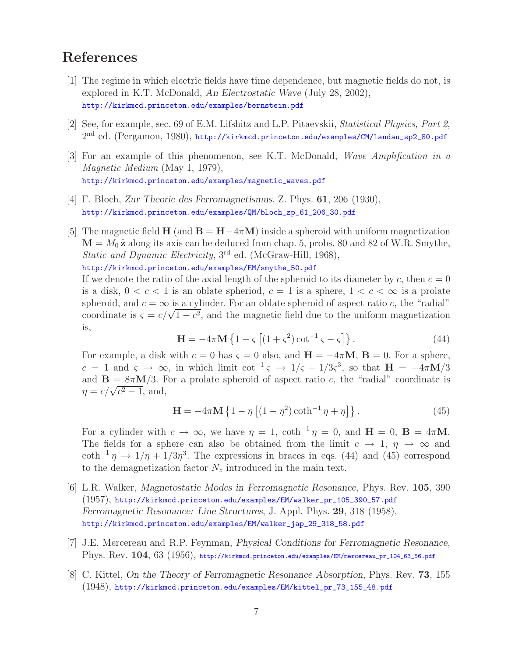# **References**

- [1] The regime in which electric fields have time dependence, but magnetic fields do not, is explored in K.T. McDonald, *An Electrostatic Wave* (July 28, 2002), http://kirkmcd.princeton.edu/examples/bernstein.pdf
- [2] See, for example, sec. 69 of E.M. Lifshitz and L.P. Pitaevskii, *Statistical Physics, Part 2*, 2<sup>nd</sup> ed. (Pergamon, 1980), http://kirkmcd.princeton.edu/examples/CM/landau\_sp2\_80.pdf
- [3] For an example of this phenomenon, see K.T. McDonald, *Wave Amplification in a Magnetic Medium* (May 1, 1979), http://kirkmcd.princeton.edu/examples/magnetic\_waves.pdf
- [4] F. Bloch, *Zur Theorie des Ferromagnetismus*, Z. Phys. **61**, 206 (1930), http://kirkmcd.princeton.edu/examples/QM/bloch\_zp\_61\_206\_30.pdf
- [5] The magnetic field **H** (and  $\mathbf{B} = \mathbf{H} 4\pi \mathbf{M}$ ) inside a spheroid with uniform magnetization  $M = M_0 \hat{z}$  along its axis can be deduced from chap. 5, probs. 80 and 82 of W.R. Smythe, *Static and Dynamic Electricity*, 3<sup>rd</sup> ed. (McGraw-Hill, 1968),

http://kirkmcd.princeton.edu/examples/EM/smythe\_50.pdf

If we denote the ratio of the axial length of the spheroid to its diameter by c, then  $c = 0$ is a disk,  $0 < c < 1$  is an oblate spheriod,  $c = 1$  is a sphere,  $1 < c < \infty$  is a prolate spheroid, and  $c = \infty$  is a cylinder. For an oblate spheroid of aspect ratio c, the "radial" coordinate is  $\varsigma = c/\sqrt{1-c^2}$ , and the magnetic field due to the uniform magnetization is,

$$
\mathbf{H} = -4\pi \mathbf{M} \left\{ 1 - \varsigma \left[ (1 + \varsigma^2) \cot^{-1} \varsigma - \varsigma \right] \right\}.
$$
 (44)

For example, a disk with  $c = 0$  has  $\varsigma = 0$  also, and  $\mathbf{H} = -4\pi \mathbf{M}$ ,  $\mathbf{B} = 0$ . For a sphere,  $c = 1$  and  $\varsigma \to \infty$ , in which limit cot<sup>-1</sup> $\varsigma \to 1/\varsigma - 1/3\varsigma^3$ , so that  $H = -4\pi M/3$ and  $\mathbf{B} = 8\pi \mathbf{M}/3$ . For a prolate spheroid of aspect ratio c, the "radial" coordinate is  $\eta = c/\sqrt{c^2-1}$ , and,

$$
\mathbf{H} = -4\pi \mathbf{M} \left\{ 1 - \eta \left[ (1 - \eta^2) \coth^{-1} \eta + \eta \right] \right\}.
$$
 (45)

For a cylinder with  $c \to \infty$ , we have  $\eta = 1$ ,  $\coth^{-1} \eta = 0$ , and  $\mathbf{H} = 0$ ,  $\mathbf{B} = 4\pi \mathbf{M}$ . The fields for a sphere can also be obtained from the limit  $c \to 1$ ,  $\eta \to \infty$  and coth<sup>-1</sup>  $\eta \to 1/\eta + 1/3\eta^3$ . The expressions in braces in eqs. (44) and (45) correspond to the demagnetization factor  $N_z$  introduced in the main text.

- [6] L.R. Walker, *Magnetostatic Modes in Ferromagnetic Resonance*, Phys. Rev. **105**, 390 (1957), http://kirkmcd.princeton.edu/examples/EM/walker\_pr\_105\_390\_57.pdf *Ferromagnetic Resonance: Line Structures*, J. Appl. Phys. **29**, 318 (1958), http://kirkmcd.princeton.edu/examples/EM/walker\_jap\_29\_318\_58.pdf
- [7] J.E. Mercereau and R.P. Feynman, *Physical Conditions for Ferromagnetic Resonance*, Phys. Rev. **104**, 63 (1956), http://kirkmcd.princeton.edu/examples/EM/mercereau\_pr\_104\_63\_56.pdf
- [8] C. Kittel, *On the Theory of Ferromagnetic Resonance Absorption*, Phys. Rev. **73**, 155 (1948), http://kirkmcd.princeton.edu/examples/EM/kittel\_pr\_73\_155\_48.pdf